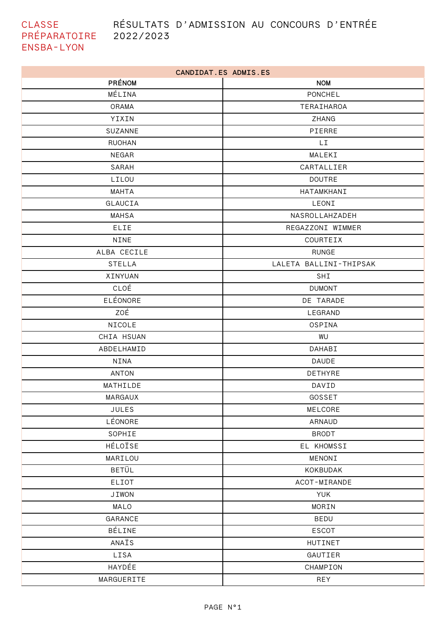## RÉSULTATS D'ADMISSION AU CONCOURS D'ENTRÉE

CLASSE PRÉPARATOIRE 2022/2023 **ENSBA-LYON** 

| CANDIDAT.ES ADMIS.ES |                        |  |
|----------------------|------------------------|--|
| PRÉNOM               | <b>NOM</b>             |  |
| MÉLINA               | PONCHEL                |  |
| ORAMA                | TERAIHAROA             |  |
| YIXIN                | ZHANG                  |  |
| SUZANNE              | PIERRE                 |  |
| <b>RUOHAN</b>        | LI.                    |  |
| NEGAR                | MALEKI                 |  |
| SARAH                | CARTALLIER             |  |
| LILOU                | <b>DOUTRE</b>          |  |
| MAHTA                | HATAMKHANI             |  |
| GLAUCIA              | LEONI                  |  |
| <b>MAHSA</b>         | NASROLLAHZADEH         |  |
| ELIE                 | REGAZZONI WIMMER       |  |
| <b>NINE</b>          | COURTEIX               |  |
| ALBA CECILE          | <b>RUNGE</b>           |  |
| <b>STELLA</b>        | LALETA BALLINI-THIPSAK |  |
| XINYUAN              | SHI                    |  |
| CLOÉ                 | <b>DUMONT</b>          |  |
| ELÉONORE             | DE TARADE              |  |
| ZOÉ                  | LEGRAND                |  |
| NICOLE               | OSPINA                 |  |
| CHIA HSUAN           | WU                     |  |
| ABDELHAMID           | DAHABI                 |  |
| NINA                 | <b>DAUDE</b>           |  |
| <b>ANTON</b>         | DETHYRE                |  |
| MATHILDE             | DAVID                  |  |
| MARGAUX              | GOSSET                 |  |
| JULES                | MELCORE                |  |
| LÉONORE              | ARNAUD                 |  |
| SOPHIE               | <b>BRODT</b>           |  |
| HÉLOÏSE              | EL KHOMSSI             |  |
| MARILOU              | MENONI                 |  |
| <b>BETÜL</b>         | KOKBUDAK               |  |
| ELIOT                | ACOT-MIRANDE           |  |
| <b>JIWON</b>         | <b>YUK</b>             |  |
| MALO                 | MORIN                  |  |
| GARANCE              | BEDU                   |  |
| BÉLINE               | <b>ESCOT</b>           |  |
| ANAÏS                | HUTINET                |  |
| LISA                 | GAUTIER                |  |
| HAYDÉE               | CHAMPION               |  |
| MARGUERITE           | REY                    |  |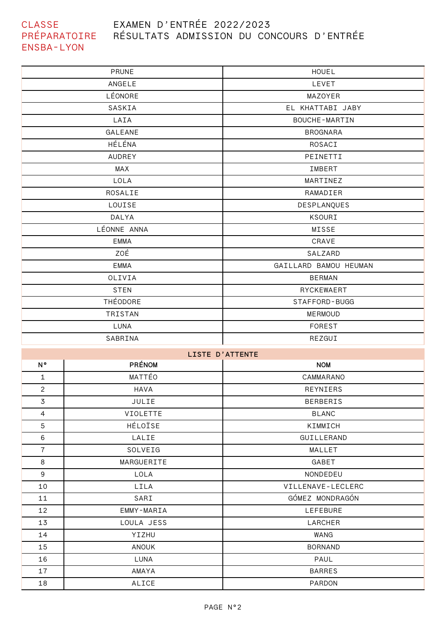## **CLASSE** PRÉPARATOIRE RÉSULTATS ADMISSION DU CONCOURS D'ENTRÉE ENSBA-LYON EXAMEN D'ENTRÉE 2022/2023

| PRUNE       | <b>HOUEL</b>          |
|-------------|-----------------------|
| ANGELE      | LEVET                 |
| LÉONORE     | MAZOYER               |
| SASKIA      | EL KHATTABI JABY      |
| LAIA        | <b>BOUCHE-MARTIN</b>  |
| GALEANE     | <b>BROGNARA</b>       |
| HÉLÉNA      | ROSACI                |
| AUDREY      | PEINETTI              |
| MAX         | IMBERT                |
| LOLA        | MARTINEZ              |
| ROSALIE     | RAMADIER              |
| LOUISE      | DESPLANQUES           |
| DALYA       | KSOURI                |
| LÉONNE ANNA | MISSE                 |
| <b>EMMA</b> | CRAVE                 |
| ZOÉ         | SALZARD               |
| <b>EMMA</b> | GAILLARD BAMOU HEUMAN |
| OLIVIA      | <b>BERMAN</b>         |
| <b>STEN</b> | RYCKEWAERT            |
| THÉODORE    | STAFFORD-BUGG         |
| TRISTAN     | <b>MERMOUD</b>        |
| LUNA        | FOREST                |
| SABRINA     | REZGUI                |

| LISTE D'ATTENTE |                 |                   |  |
|-----------------|-----------------|-------------------|--|
| N°              | <b>PRÉNOM</b>   | <b>NOM</b>        |  |
| $\mathbf{1}$    | MATTÉO          | CAMMARANO         |  |
| $\overline{2}$  | <b>HAVA</b>     | REYNIERS          |  |
| $\overline{3}$  | JULIE           | <b>BERBERIS</b>   |  |
| $\overline{4}$  | <b>VIOLETTE</b> | <b>BLANC</b>      |  |
| 5               | HÉLOÏSE         | KIMMICH           |  |
| 6               | LALIE           | GUILLERAND        |  |
| $\overline{7}$  | SOLVEIG         | MALLET            |  |
| 8               | MARGUERITE      | GABET             |  |
| 9               | LOLA            | NONDEDEU          |  |
| 10              | LILA            | VILLENAVE-LECLERC |  |
| 11              | SARI            | GÓMEZ MONDRAGÓN   |  |
| 12              | EMMY-MARIA      | LEFEBURE          |  |
| 13              | LOULA JESS      | LARCHER           |  |
| 14              | YIZHU           | WANG              |  |
| 15              | ANOUK           | <b>BORNAND</b>    |  |
| 16              | LUNA            | PAUL              |  |
| 17              | AMAYA           | <b>BARRES</b>     |  |
| 18              | ALICE           | PARDON            |  |